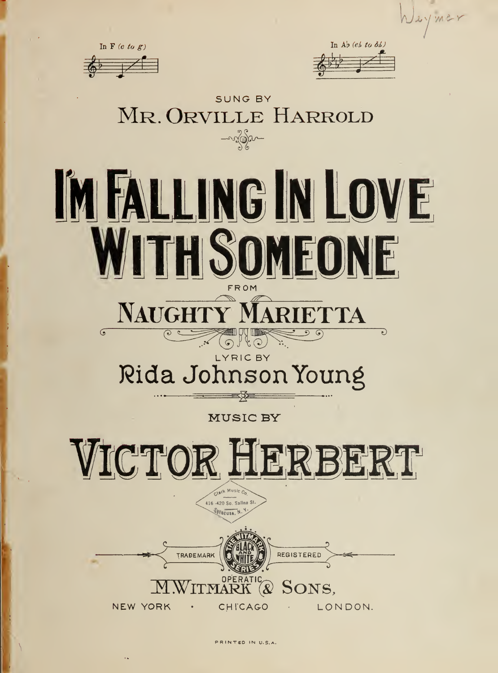

PRINTED IN U.S.A.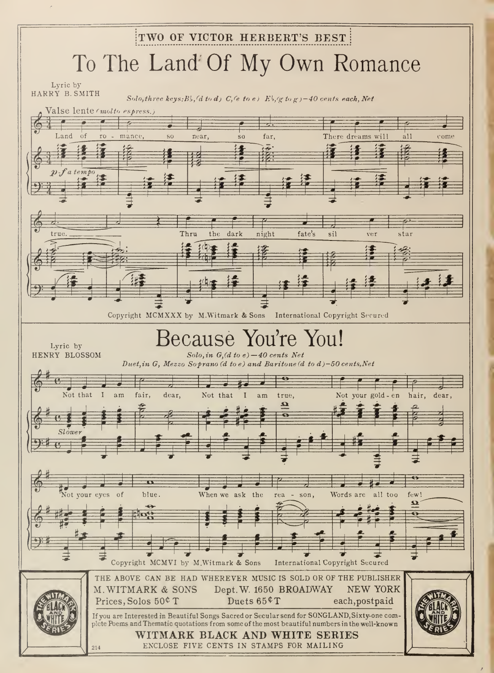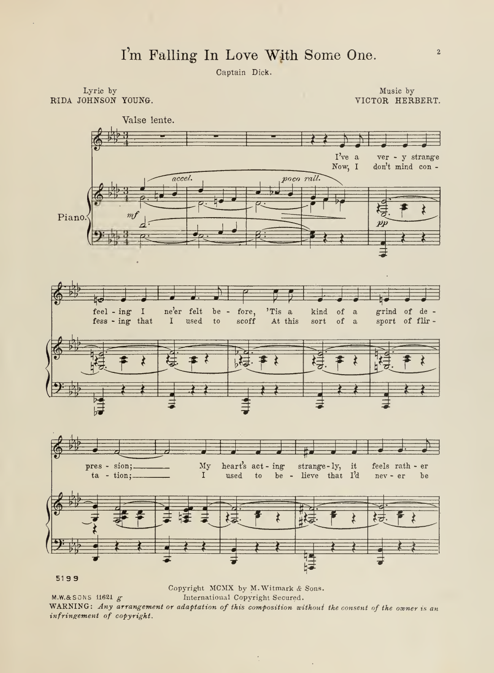Captain Dick.

Lyric by RIDA JOHNSON YOUNG.

Music by VICTOR HERBERT.



5199

Copyright MCMX by M. Witmark & Sons.  $M.W.A.SONS 11621 g$ International Copyright Secured. WARNING: Any arrangement or adaptation of this composition without the consent of the owner is an infringement of copyright.

 $\overline{\phantom{a}}$ 

 $\mathcal{A}$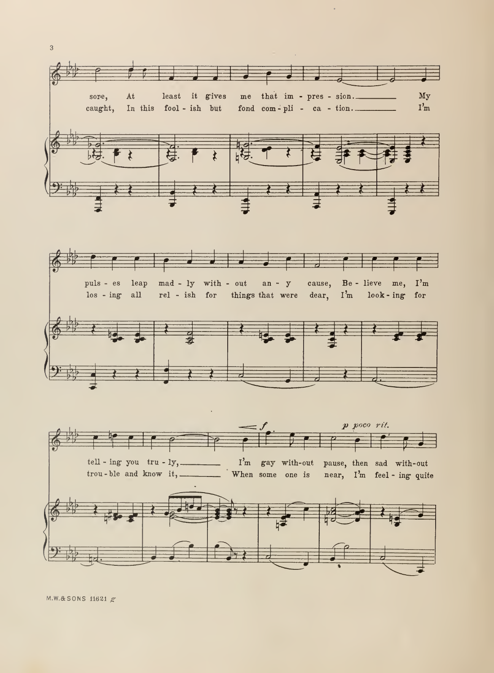

M.W.& SONS 11621  $g$ 

 $\overline{3}$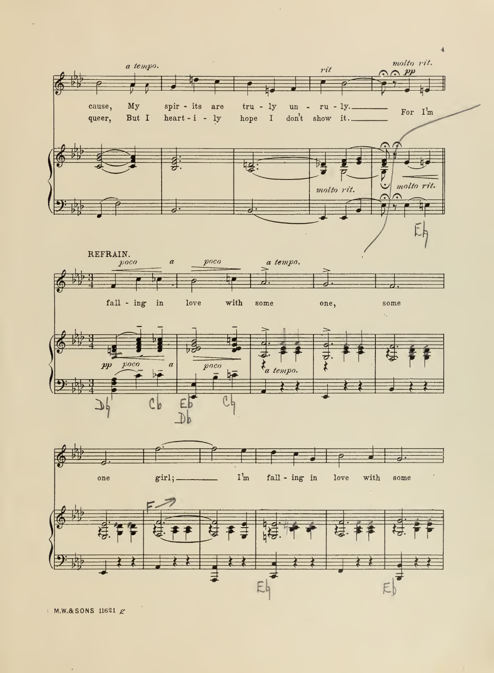

 $MNR$ SONS 11621  $g$ 

 $\hat{\mathcal{A}}$ 

 $\sigma$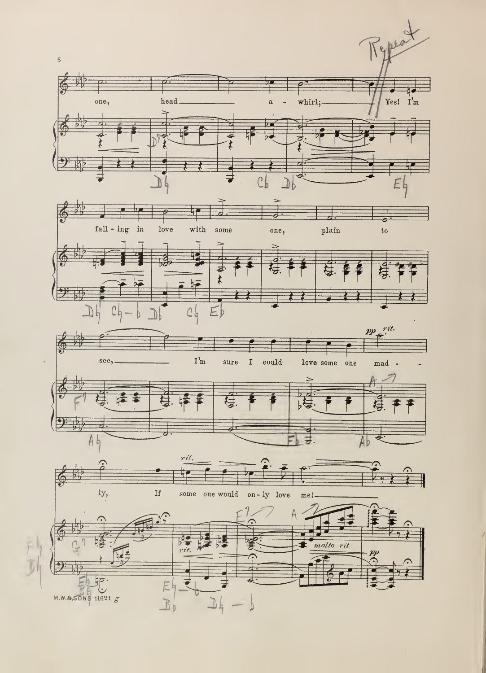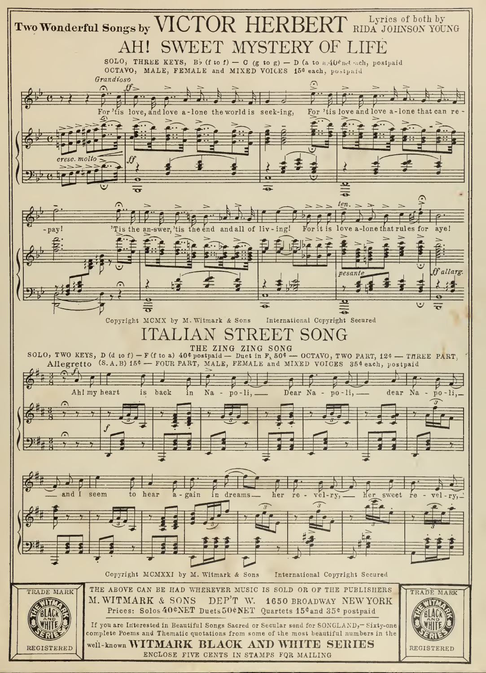